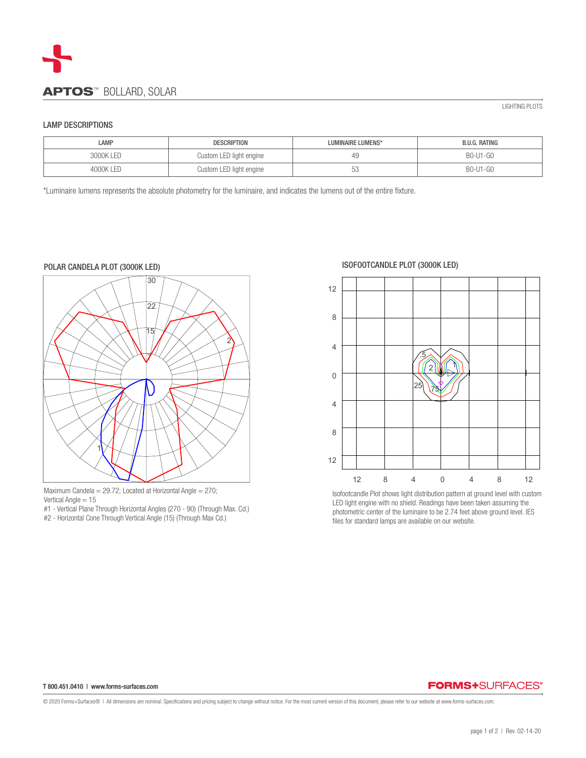

## LAMP DESCRIPTIONS

| LAMP      | <b>DESCRIPTION</b>      | LUMINAIRE LUMENS* | B.U.G. RATING |
|-----------|-------------------------|-------------------|---------------|
| 3000K LED | Custom LED light engine | 49                | B0-U1-G0      |
| 4000K LED | Custom LED light engine | h<br>◡◡           | B0-U1-G0      |

\*Luminaire lumens represents the absolute photometry for the luminaire, and indicates the lumens out of the entire fixture.



Maximum Candela =  $29.72$ ; Located at Horizontal Angle =  $270$ ; Vertical Angle = 15

- #1 Vertical Plane Through Horizontal Angles (270 90) (Through Max. Cd.)
- #2 Horizontal Cone Through Vertical Angle (15) (Through Max Cd.)

ISOFOOTCANDLE PLOT (3000K LED)



Isofootcandle Plot shows light distribution pattern at ground level with custom LED light engine with no shield. Readings have been taken assuming the photometric center of the luminaire to be 2.74 feet above ground level. IES files for standard lamps are available on our website.

### T 800.451.0410 | www.forms-surfaces.com

# **FORMS+SURFACES®**

© 2020 Forms+Surfaces® | All dimensions are nominal. Specifications and pricing subject to change without notice. For the most current version of this document, please refer to our website at www.forms-surfaces.com.

LIGHTING PLOTS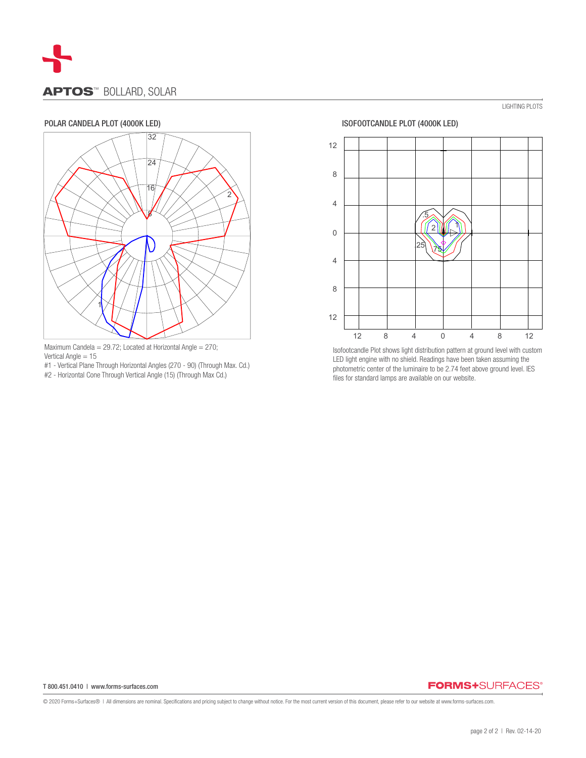

# POLAR CANDELA PLOT (4000K LED)



Maximum Candela = 29.72; Located at Horizontal Angle = 270; Vertical Angle = 15

#1 - Vertical Plane Through Horizontal Angles (270 - 90) (Through Max. Cd.)

#2 - Horizontal Cone Through Vertical Angle (15) (Through Max Cd.)



LIGHTING PLOTS

Isofootcandle Plot shows light distribution pattern at ground level with custom LED light engine with no shield. Readings have been taken assuming the photometric center of the luminaire to be 2.74 feet above ground level. IES files for standard lamps are available on our website.

### T 800.451.0410 | www.forms-surfaces.com

# **FORMS+**SURFACES®

© 2020 Forms+Surfaces® | All dimensions are nominal. Specifications and pricing subject to change without notice. For the most current version of this document, please refer to our website at www.forms-surfaces.com.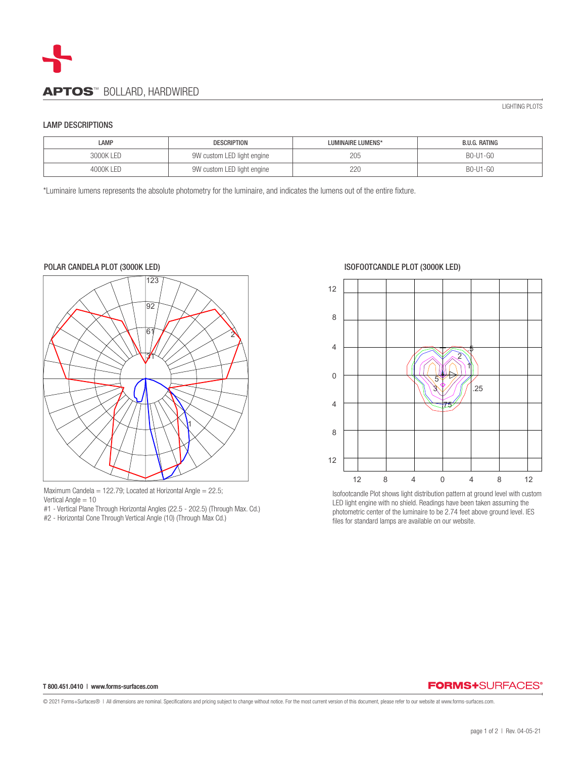

## LAMP DESCRIPTIONS

| LAMP       | <b>DESCRIPTION</b>         | LUMINAIRE LUMENS* | B.U.G. RATING |
|------------|----------------------------|-------------------|---------------|
| 3000K LED  | 9W custom LED light engine | 205               | B0-U1-G0      |
| 4000K I FD | 9W custom LED light engine | 220               | B0-U1-G0      |

\*Luminaire lumens represents the absolute photometry for the luminaire, and indicates the lumens out of the entire fixture.



Maximum Candela = 122.79; Located at Horizontal Angle =  $22.5$ ; Vertical Angle = 10

- #1 Vertical Plane Through Horizontal Angles (22.5 202.5) (Through Max. Cd.)
- #2 Horizontal Cone Through Vertical Angle (10) (Through Max Cd.)

## ISOFOOTCANDLE PLOT (3000K LED)



Isofootcandle Plot shows light distribution pattern at ground level with custom LED light engine with no shield. Readings have been taken assuming the photometric center of the luminaire to be 2.74 feet above ground level. IES files for standard lamps are available on our website.

### T 800.451.0410 | www.forms-surfaces.com

# **FORMS+SURFACES®**

© 2021 Forms+Surfaces® | All dimensions are nominal. Specifications and pricing subject to change without notice. For the most current version of this document, please refer to our website at www.forms-surfaces.com.

LIGHTING PLOTS